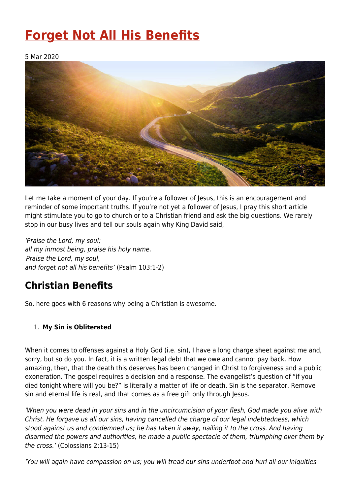# **[Forget Not All His Benefits](https://four12global.com/articles/forget-not-all-his-benefits/)**

5 Mar 2020



Let me take a moment of your day. If you're a follower of Jesus, this is an encouragement and reminder of some important truths. If you're not yet a follower of Jesus, I pray this short article might stimulate you to go to church or to a Christian friend and ask the big questions. We rarely stop in our busy lives and tell our souls again why King David said,

'Praise the Lord, my soul; all my inmost being, praise his holy name. Praise the Lord, my soul, and forget not all his benefits' (Psalm 103:1-2)

# **Christian Benefits**

So, here goes with 6 reasons why being a Christian is awesome.

## 1. **My Sin is Obliterated**

When it comes to offenses against a Holy God (i.e. sin), I have a long charge sheet against me and, sorry, but so do you. In fact, it is a written legal debt that we owe and cannot pay back. How amazing, then, that the death this deserves has been changed in Christ to forgiveness and a public exoneration. The gospel requires a decision and a response. The evangelist's question of "if you died tonight where will you be?" is literally a matter of life or death. Sin is the separator. Remove sin and eternal life is real, and that comes as a free gift only through Jesus.

'When you were dead in your sins and in the uncircumcision of your flesh, God made you alive with Christ. He forgave us all our sins, having cancelled the charge of our legal indebtedness, which stood against us and condemned us; he has taken it away, nailing it to the cross. And having disarmed the powers and authorities, he made a public spectacle of them, triumphing over them by the cross.' (Colossians 2:13-15)

'You will again have compassion on us; you will tread our sins underfoot and hurl all our iniquities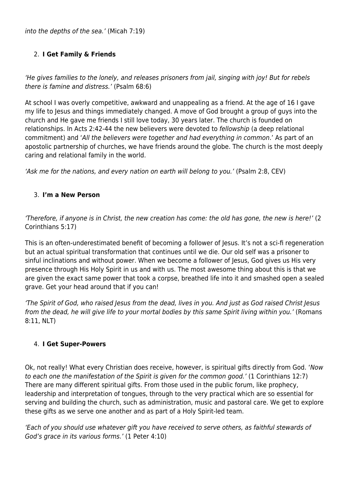into the depths of the sea.' (Micah 7:19)

### 2. **I Get Family & Friends**

'He gives families to the lonely, and releases prisoners from jail, singing with joy! But for rebels there is famine and distress.' (Psalm 68:6)

At school I was overly competitive, awkward and unappealing as a friend. At the age of 16 I gave my life to Jesus and things immediately changed. A move of God brought a group of guys into the church and He gave me friends I still love today, 30 years later. The church is founded on relationships. In Acts 2:42-44 the new believers were devoted to fellowship (a deep relational commitment) and 'All the believers were together and had everything in common.' As part of an apostolic partnership of churches, we have friends around the globe. The church is the most deeply caring and relational family in the world.

'Ask me for the nations, and every nation on earth will belong to you.' (Psalm 2:8, CEV)

#### 3. **I'm a New Person**

'Therefore, if anyone is in Christ, the new creation has come: the old has gone, the new is here!' (2 Corinthians 5:17)

This is an often-underestimated benefit of becoming a follower of Jesus. It's not a sci-fi regeneration but an actual spiritual transformation that continues until we die. Our old self was a prisoner to sinful inclinations and without power. When we become a follower of Jesus, God gives us His very presence through His Holy Spirit in us and with us. The most awesome thing about this is that we are given the exact same power that took a corpse, breathed life into it and smashed open a sealed grave. Get your head around that if you can!

'The Spirit of God, who raised Jesus from the dead, lives in you. And just as God raised Christ Jesus from the dead, he will give life to your mortal bodies by this same Spirit living within you.' (Romans 8:11, NLT)

#### 4. **I Get Super-Powers**

Ok, not really! What every Christian does receive, however, is spiritual gifts directly from God. 'Now to each one the manifestation of the Spirit is given for the common good.' (1 Corinthians 12:7) There are many different spiritual gifts. From those used in the public forum, like prophecy, leadership and interpretation of tongues, through to the very practical which are so essential for serving and building the church, such as administration, music and pastoral care. We get to explore these gifts as we serve one another and as part of a Holy Spirit-led team.

'Each of you should use whatever gift you have received to serve others, as faithful stewards of God's grace in its various forms.' (1 Peter 4:10)